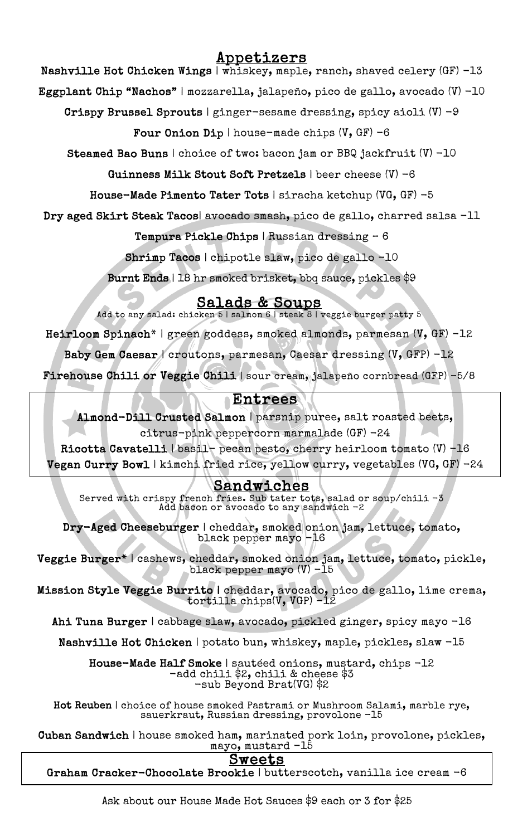# Appetizers

Nashville Hot Chicken Wings | whiskey, maple, ranch, shaved celery (GF) -13

Eggplant Chip "Nachos" | mozzarella, jalapeño, pico de gallo, avocado (V) -10

Crispy Brussel Sprouts | ginger-sesame dressing, spicy aioli  $(V)$  -9

Four Onion Dip | house-made chips  $(V, GF) -6$ 

Steamed Bao Buns | choice of two: bacon jam or BBQ jackfruit (V) -10

Guinness Milk Stout Soft Pretzels | beer cheese (V) -6

House-Made Pimento Tater Tots | siracha ketchup (VG, GF) -5

Dry aged Skirt Steak Tacos| avocado smash, pico de gallo, charred salsa -11

Tempura Pickle Chips | Russian dressing – 6

Shrimp Tacos | chipotle slaw, pico de gallo -10

Burnt Ends | 18 hr smoked brisket, bbq sauce, pickles \$9

Salads & Soups<br>Add to any salad: chicken 5 | salmon 6 | steak 8 | veggie burger patty 5

Heirloom Spinach\* | green goddess, smoked almonds, parmesan (V, GF) -12

Baby Gem Caesar / croutons, parmesan, Caesar dressing (V, GFP) -12

 $\frac{1}{2}$ Firehouse Chili or Veggie Chili | sour cream, jalapeño cornbread (GFP) -5/8

# Entrees

 Almond-Dill Crusted Salmon | parsnip puree, salt roasted beets, citrus-pink peppercorn marmalade (GF) -24

Ricotta Cavatelli | basil- pecan pesto, cherry heirloom tomato (V) -16

ء<br>پ Vegan Curry Bowl | kimchi fried rice, yellow curry, vegetables (VG, GF) -24

### Sandwiches

ι<br>d Sandwiches Served with crispy french fries. Sub tater tots, salad or soup/chili -3 Add bacon or avocado to any sandwich -2

j. Dry-Aged Cheeseburger | cheddar, smoked onion jam, lettuce, tomato, black pepper mayo -16

 $\mathbf{r}$ ۲.<br>د  $\overline{\phantom{a}}$ Veggie Burger\* | cashews, cheddar, smoked onion jam, lettuce, tomato, pickle, black pepper mayo (V) -15

l:<br>÷  $\overline{a}$ Mission Style Veggie Burrito | cheddar, avocado, pico de gallo, lime crema, tortilla chips(V, VGP) -12

Ahi Tuna Burger | cabbage slaw, avocado, pickled ginger, spicy mayo  $\lnot 16$ 

Nashville Hot Chicken | potato bun, whiskey, maple, pickles, slaw -15

House-Made Half Smoke | sautéed onions, mustard, chips -12<br>-add chili \$2, chili & cheese \$3 -add chili \$2, chili & cheese \$3 -sub Beyond Brat(VG) \$2

 Hot Reuben | choice of house smoked Pastrami or Mushroom Salami, marble rye, sauerkraut, Russian dressing, provolone -15

 Cuban Sandwich | house smoked ham, marinated pork loin, provolone, pickles, mayo, mustard -15

#### Sweets

Sweets<br>Graham Cracker-Chocolate Brookie | butterscotch, vanilla ice cream -6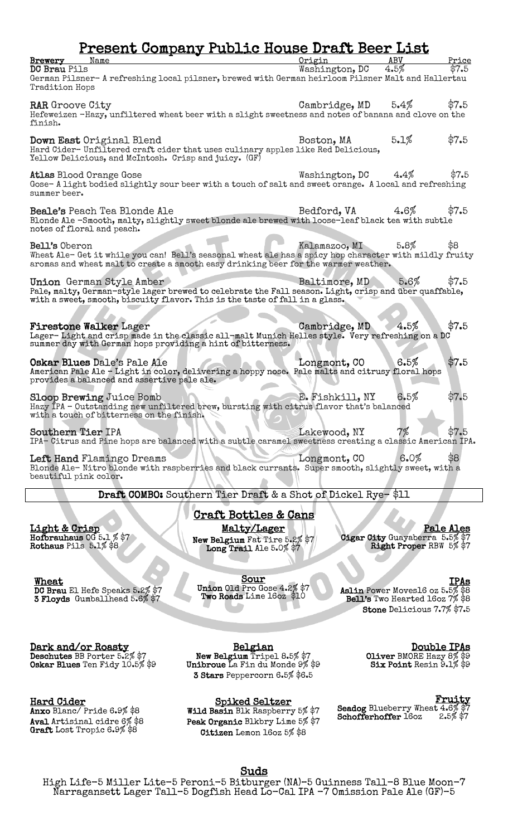# Present Company Public House Draft Beer List

| <b>Brewery</b> Name<br><b>DC Brau Pils</b><br>German Pilsner- A refreshing local pilsner, brewed with German heirloom Pilsner Malt and Hallertau<br>Tradition Hops                                                | Origin<br>Washington, DC | ABV<br>4.5%                                               | Price<br>\$7.5   |
|-------------------------------------------------------------------------------------------------------------------------------------------------------------------------------------------------------------------|--------------------------|-----------------------------------------------------------|------------------|
| <b>RAR</b> Groove City<br>Hefeweizen -Hazy, unfiltered wheat beer with a slight sweetness and notes of banana and clove on the<br>finish.                                                                         | Cambridge, $MD = 5.4\%$  |                                                           | \$7.5            |
| Down East Original Blend<br>Hard Cider-Unfiltered craft cider that uses culinary apples like Red Delicious,<br>Yellow Delicious, and McIntosh. Crisp and juicy. (GF)                                              | Boston, MA               | 5.1%                                                      | \$7.5            |
| <b>Atlas Blood Orange Gose</b><br>Gose-A light bodied slightly sour beer with a touch of salt and sweet orange. A local and refreshing<br>summer beer.                                                            | Washington, DC           | $4.4\%$                                                   | \$7.5            |
| <b>Beale's</b> Peach Tea Blonde Ale<br>Blonde Ale -Smooth, malty, slightly sweet blonde ale brewed with loose-leaf black tea with subtle<br>notes of floral and peach.                                            | Bedford, VA              | $4.6\%$                                                   | \$7.5            |
| Bell's Oberon<br>Wheat Ale- Get it while you can! Bell's seasonal wheat ale has a spicy hop character with mildly fruity<br>aromas and wheat malt to create a smooth easy drinking beer for the warmer weather.   | Kalamazoo, MI            | 5.8%                                                      | \$8              |
| Union German Style Amber<br>Pale, malty, German-style lager brewed to celebrate the Fall season. Light, crisp and über quaffable,<br>with a sweet, smooth, biscuity flavor. This is the taste of fall in a glass. | Baltimore, MD            | 5.6%                                                      | \$7.5            |
| <b>Firestone Walker Lager</b><br>Lager-Light and crisp made in the classic all-malt Munich Helles style. Very refreshing on a DC<br>summer day with German hops providing a hint of bitterness.                   | Cambridge, MD            | 4.5%                                                      | \$7.5            |
| Oskar Blues Dale's Pale Ale<br>American Pale Ale - Light in color, delivering a hoppy nose. Pale malts and citrusy floral hops<br>provides a balanced and assertive pale ale.                                     | Longmont, CO             | 6.5%                                                      | \$7.5            |
| <b>Sloop Brewing Juice Bomb</b><br>Hazy IPA - Outstanding new unfiltered brew, bursting with citrus flavor that's balanced<br>with a touch of bitterness on the finish.                                           | E. Fishkill, NY          | 6.5%                                                      | \$7.5            |
| <b>Southern Tier IPA</b><br>IPA- Citrus and Pine hops are balanced with a subtle caramel sweetness creating a classic American IPA.                                                                               | Lakewood, NY             | 7%                                                        | \$7.5            |
| Left Hand Flamingo Dreams<br>Blonde Ale-Nitro blonde with raspberries and black currants. Super smooth, slightly sweet, with a<br>beautiful pink color.                                                           | Longmont, CO             | 6.0%                                                      | \$8              |
| Draft COMBO: Southern Tier Draft & a Shot of Dickel Rye-\$11                                                                                                                                                      |                          |                                                           |                  |
| <u>Craft Bottles &amp; Cans</u>                                                                                                                                                                                   |                          |                                                           |                  |
| Malty/Lager<br><u>Light &amp; Crisp</u><br>Hofbrauhaus $005.1\%$ \$7<br>New Belgium Fat Tire 5.2% \$7<br>Rothaus Pils 5.1% \$8<br>Long Trail Ale 5.0% \$7                                                         |                          | Cigar City Guayaberra 5.5% \$7<br>Right Proper RBW 5% \$7 | <b>Pale Ales</b> |

 $\lceil$ 

Wheat<br>DC Brau El Hefe Speaks 5.2% \$7<br>3 Floyds Gumballhead 5.6% \$7

Sour<br>Union Old Pro Gose 4.2% \$7<br>Two Roads Lime 16oz \$10

IPAs<br>Aslin Power Moves16 oz 5.5% \$8 Bell's Two Hearted 16oz 7% \$8 Stone Delicious 7.7% \$7.5

**Dark and/or Roasty<br>Deschutes** BB Porter 5.2% \$7 Oskar Blues Ten Fidy 10.5% \$9

Hard Cider

Anxo Blanc/ Pride 6.9% \$8 Aval Artisinal cidre 6% \$8<br>Graft Lost Tropic 6.9% \$8

Belgian<br>New Belgium Tripel 8.5% \$7 Unibroue La Fin du Monde 9% \$9 3 Stars Peppercorn 6.5% \$6.5

Spiked Seltzer

Wild Basin Blk Raspberry 5% \$7 Peak Organic Blkbry Lime 5% \$7 Citizen Lemon 16oz 5% \$8

**Double IPAs<br>Oliver BMORE Hazy 8% \$9<br>Six Point Resin 9.1% \$9** 

Fruity<br>Seadog Blueberry Wheat 4.6% \$7<br>Schofferhoffer 16oz 2.5% \$7

Suds<br>High Life-5 Miller Lite-5 Peroni-5 Bitburger (NA)-5 Guinness Tall-8 Blue Moon-7 Narragansett Lager Tall–5 Dogfish Head Lo-Cal IPA -7 Omission Pale Ale (GF)-5